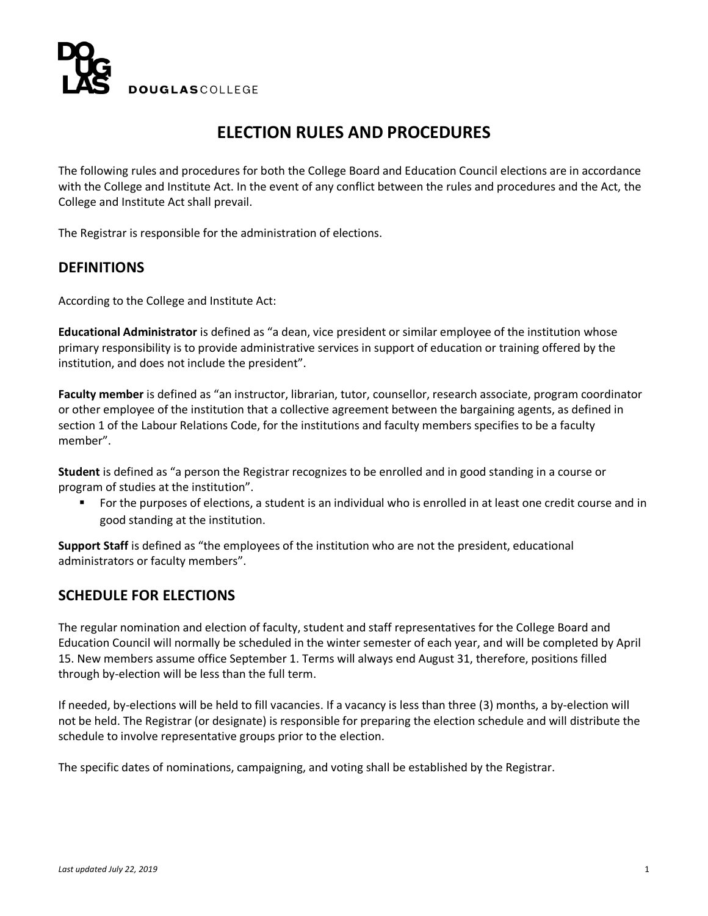

# **ELECTION RULES AND PROCEDURES**

The following rules and procedures for both the College Board and Education Council elections are in accordance with the College and Institute Act. In the event of any conflict between the rules and procedures and the Act, the College and Institute Act shall prevail.

The Registrar is responsible for the administration of elections.

### **DEFINITIONS**

According to the College and Institute Act:

**Educational Administrator** is defined as "a dean, vice president or similar employee of the institution whose primary responsibility is to provide administrative services in support of education or training offered by the institution, and does not include the president".

**Faculty member** is defined as "an instructor, librarian, tutor, counsellor, research associate, program coordinator or other employee of the institution that a collective agreement between the bargaining agents, as defined in section 1 of the Labour Relations Code, for the institutions and faculty members specifies to be a faculty member".

**Student** is defined as "a person the Registrar recognizes to be enrolled and in good standing in a course or program of studies at the institution".

 For the purposes of elections, a student is an individual who is enrolled in at least one credit course and in good standing at the institution.

**Support Staff** is defined as "the employees of the institution who are not the president, educational administrators or faculty members".

### **SCHEDULE FOR ELECTIONS**

The regular nomination and election of faculty, student and staff representatives for the College Board and Education Council will normally be scheduled in the winter semester of each year, and will be completed by April 15. New members assume office September 1. Terms will always end August 31, therefore, positions filled through by-election will be less than the full term.

If needed, by-elections will be held to fill vacancies. If a vacancy is less than three (3) months, a by-election will not be held. The Registrar (or designate) is responsible for preparing the election schedule and will distribute the schedule to involve representative groups prior to the election.

The specific dates of nominations, campaigning, and voting shall be established by the Registrar.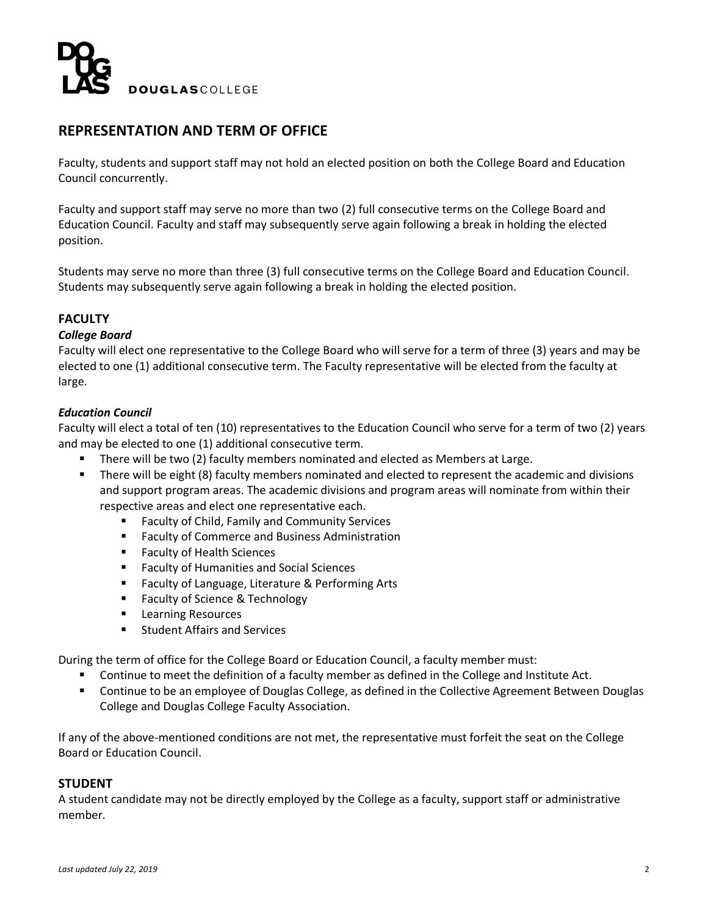

# **REPRESENTATION AND TERM OF OFFICE**

Faculty, students and support staff may not hold an elected position on both the College Board and Education Council concurrently.

Faculty and support staff may serve no more than two (2) full consecutive terms on the College Board and Education Council. Faculty and staff may subsequently serve again following a break in holding the elected position.

Students may serve no more than three (3) full consecutive terms on the College Board and Education Council. Students may subsequently serve again following a break in holding the elected position.

### **FACULTY**

#### *College Board*

Faculty will elect one representative to the College Board who will serve for a term of three (3) years and may be elected to one (1) additional consecutive term. The Faculty representative will be elected from the faculty at large.

### *Education Council*

Faculty will elect a total of ten (10) representatives to the Education Council who serve for a term of two (2) years and may be elected to one (1) additional consecutive term.

- There will be two (2) faculty members nominated and elected as Members at Large.
- **There will be eight (8) faculty members nominated and elected to represent the academic and divisions** and support program areas. The academic divisions and program areas will nominate from within their respective areas and elect one representative each.
	- **Faculty of Child, Family and Community Services**
	- **Faculty of Commerce and Business Administration**
	- Faculty of Health Sciences
	- Faculty of Humanities and Social Sciences
	- **Faculty of Language, Literature & Performing Arts**
	- Faculty of Science & Technology
	- **Learning Resources**
	- **Student Affairs and Services**

During the term of office for the College Board or Education Council, a faculty member must:

- Continue to meet the definition of a faculty member as defined in the College and Institute Act.
- Continue to be an employee of Douglas College, as defined in the Collective Agreement Between Douglas College and Douglas College Faculty Association.

If any of the above-mentioned conditions are not met, the representative must forfeit the seat on the College Board or Education Council.

### **STUDENT**

A student candidate may not be directly employed by the College as a faculty, support staff or administrative member.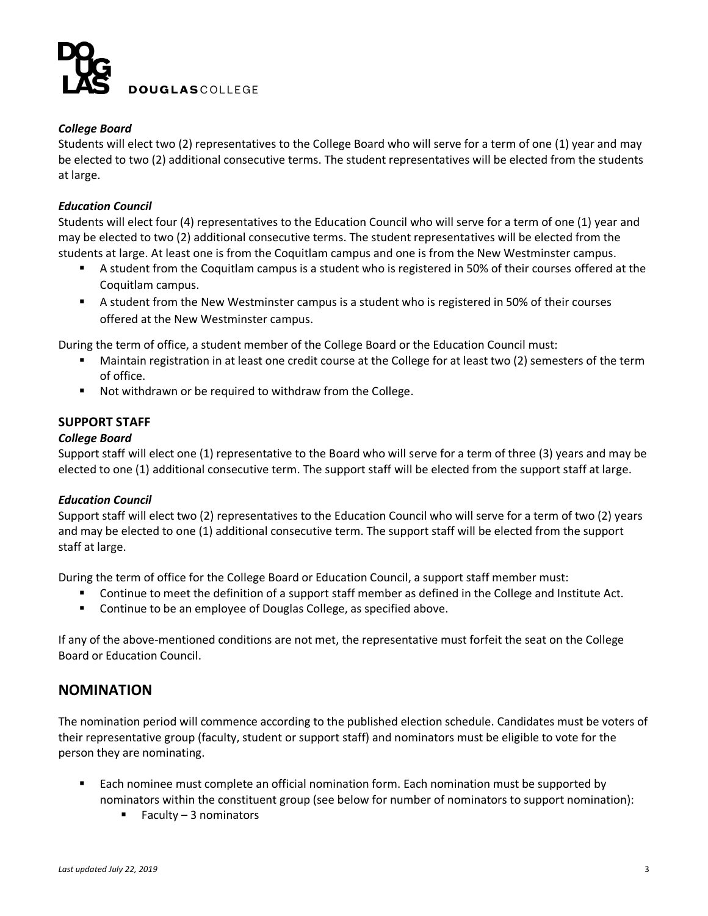

### *College Board*

Students will elect two (2) representatives to the College Board who will serve for a term of one (1) year and may be elected to two (2) additional consecutive terms. The student representatives will be elected from the students at large.

### *Education Council*

Students will elect four (4) representatives to the Education Council who will serve for a term of one (1) year and may be elected to two (2) additional consecutive terms. The student representatives will be elected from the students at large. At least one is from the Coquitlam campus and one is from the New Westminster campus.

- A student from the Coquitlam campus is a student who is registered in 50% of their courses offered at the Coquitlam campus.
- A student from the New Westminster campus is a student who is registered in 50% of their courses offered at the New Westminster campus.

During the term of office, a student member of the College Board or the Education Council must:

- Maintain registration in at least one credit course at the College for at least two (2) semesters of the term of office.
- Not withdrawn or be required to withdraw from the College.

### **SUPPORT STAFF**

### *College Board*

Support staff will elect one (1) representative to the Board who will serve for a term of three (3) years and may be elected to one (1) additional consecutive term. The support staff will be elected from the support staff at large.

### *Education Council*

Support staff will elect two (2) representatives to the Education Council who will serve for a term of two (2) years and may be elected to one (1) additional consecutive term. The support staff will be elected from the support staff at large.

During the term of office for the College Board or Education Council, a support staff member must:

- Continue to meet the definition of a support staff member as defined in the College and Institute Act.
- **EXECONTERGHT CONTINUM** Continue to be an employee of Douglas College, as specified above.

If any of the above-mentioned conditions are not met, the representative must forfeit the seat on the College Board or Education Council.

### **NOMINATION**

The nomination period will commence according to the published election schedule. Candidates must be voters of their representative group (faculty, student or support staff) and nominators must be eligible to vote for the person they are nominating.

- **Each nominee must complete an official nomination form. Each nomination must be supported by** nominators within the constituent group (see below for number of nominators to support nomination):
	- Faculty 3 nominators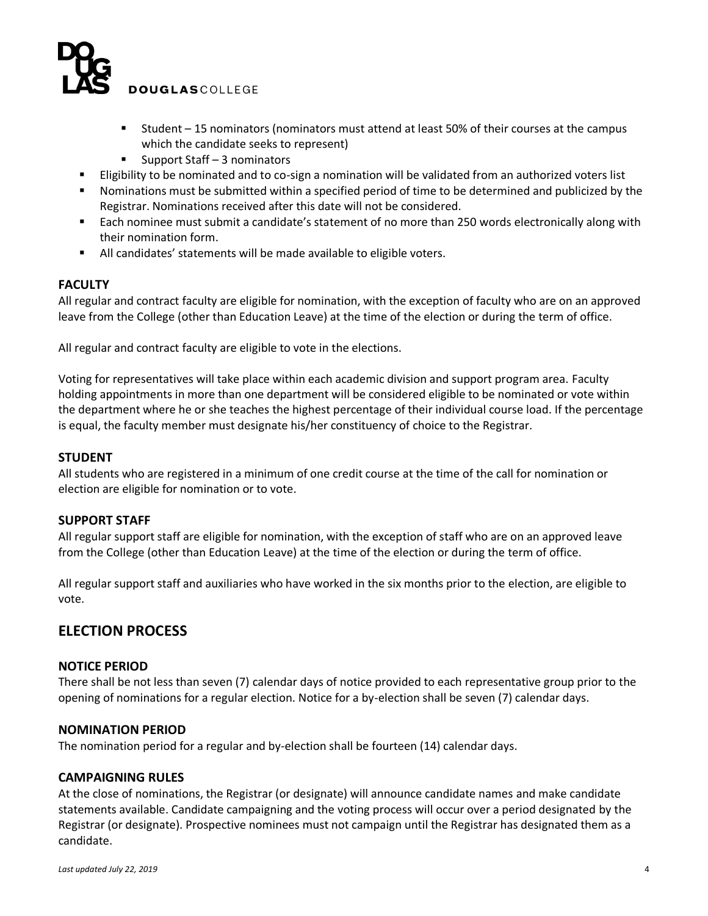

- Student 15 nominators (nominators must attend at least 50% of their courses at the campus which the candidate seeks to represent)
- Support Staff 3 nominators
- Eligibility to be nominated and to co-sign a nomination will be validated from an authorized voters list
- Nominations must be submitted within a specified period of time to be determined and publicized by the Registrar. Nominations received after this date will not be considered.
- Each nominee must submit a candidate's statement of no more than 250 words electronically along with their nomination form.
- All candidates' statements will be made available to eligible voters.

### **FACULTY**

All regular and contract faculty are eligible for nomination, with the exception of faculty who are on an approved leave from the College (other than Education Leave) at the time of the election or during the term of office.

All regular and contract faculty are eligible to vote in the elections.

Voting for representatives will take place within each academic division and support program area. Faculty holding appointments in more than one department will be considered eligible to be nominated or vote within the department where he or she teaches the highest percentage of their individual course load. If the percentage is equal, the faculty member must designate his/her constituency of choice to the Registrar.

### **STUDENT**

All students who are registered in a minimum of one credit course at the time of the call for nomination or election are eligible for nomination or to vote.

### **SUPPORT STAFF**

All regular support staff are eligible for nomination, with the exception of staff who are on an approved leave from the College (other than Education Leave) at the time of the election or during the term of office.

All regular support staff and auxiliaries who have worked in the six months prior to the election, are eligible to vote.

### **ELECTION PROCESS**

### **NOTICE PERIOD**

There shall be not less than seven (7) calendar days of notice provided to each representative group prior to the opening of nominations for a regular election. Notice for a by-election shall be seven (7) calendar days.

### **NOMINATION PERIOD**

The nomination period for a regular and by-election shall be fourteen (14) calendar days.

### **CAMPAIGNING RULES**

At the close of nominations, the Registrar (or designate) will announce candidate names and make candidate statements available. Candidate campaigning and the voting process will occur over a period designated by the Registrar (or designate). Prospective nominees must not campaign until the Registrar has designated them as a candidate.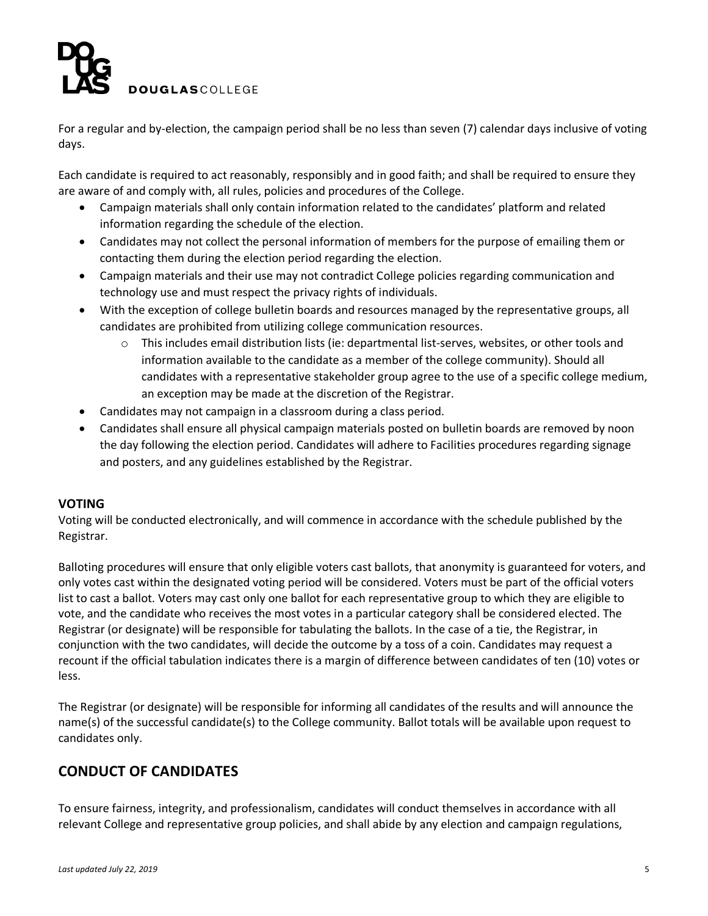

For a regular and by-election, the campaign period shall be no less than seven (7) calendar days inclusive of voting days.

Each candidate is required to act reasonably, responsibly and in good faith; and shall be required to ensure they are aware of and comply with, all rules, policies and procedures of the College.

- Campaign materials shall only contain information related to the candidates' platform and related information regarding the schedule of the election.
- Candidates may not collect the personal information of members for the purpose of emailing them or contacting them during the election period regarding the election.
- Campaign materials and their use may not contradict College policies regarding communication and technology use and must respect the privacy rights of individuals.
- With the exception of college bulletin boards and resources managed by the representative groups, all candidates are prohibited from utilizing college communication resources.
	- $\circ$  This includes email distribution lists (ie: departmental list-serves, websites, or other tools and information available to the candidate as a member of the college community). Should all candidates with a representative stakeholder group agree to the use of a specific college medium, an exception may be made at the discretion of the Registrar.
- Candidates may not campaign in a classroom during a class period.
- Candidates shall ensure all physical campaign materials posted on bulletin boards are removed by noon the day following the election period. Candidates will adhere to Facilities procedures regarding signage and posters, and any guidelines established by the Registrar.

### **VOTING**

Voting will be conducted electronically, and will commence in accordance with the schedule published by the Registrar.

Balloting procedures will ensure that only eligible voters cast ballots, that anonymity is guaranteed for voters, and only votes cast within the designated voting period will be considered. Voters must be part of the official voters list to cast a ballot. Voters may cast only one ballot for each representative group to which they are eligible to vote, and the candidate who receives the most votes in a particular category shall be considered elected. The Registrar (or designate) will be responsible for tabulating the ballots. In the case of a tie, the Registrar, in conjunction with the two candidates, will decide the outcome by a toss of a coin. Candidates may request a recount if the official tabulation indicates there is a margin of difference between candidates of ten (10) votes or less.

The Registrar (or designate) will be responsible for informing all candidates of the results and will announce the name(s) of the successful candidate(s) to the College community. Ballot totals will be available upon request to candidates only.

## **CONDUCT OF CANDIDATES**

To ensure fairness, integrity, and professionalism, candidates will conduct themselves in accordance with all relevant College and representative group policies, and shall abide by any election and campaign regulations,